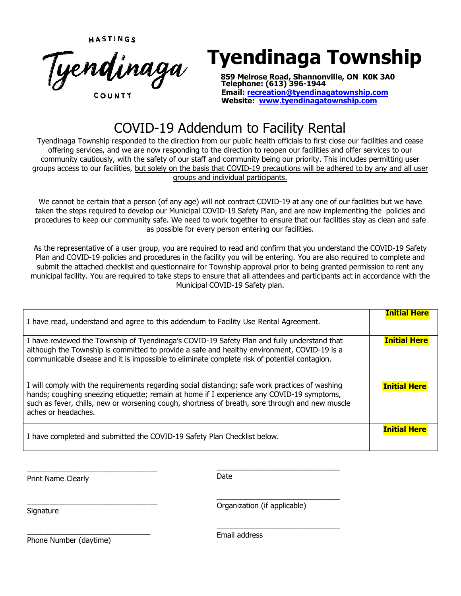HASTINGS



# **Tyendinaga Township**

 **859 Melrose Road, Shannonville, ON K0K 3A0 Telephone: (613) 396-1944 Email: recreation@tyendinaga[township.com](http://www.seguin.ca/) Website: www.tyendinagatownship.com**

# COVID-19 Addendum to Facility Rental

Tyendinaga Township responded to the direction from our public health officials to first close our facilities and cease offering services, and we are now responding to the direction to reopen our facilities and offer services to our community cautiously, with the safety of our staff and community being our priority. This includes permitting user groups access to our facilities, but solely on the basis that COVID-19 precautions will be adhered to by any and all user groups and individual participants.

We cannot be certain that a person (of any age) will not contract COVID-19 at any one of our facilities but we have taken the steps required to develop our Municipal COVID-19 Safety Plan, and are now implementing the policies and procedures to keep our community safe. We need to work together to ensure that our facilities stay as clean and safe as possible for every person entering our facilities.

As the representative of a user group, you are required to read and confirm that you understand the COVID-19 Safety Plan and COVID-19 policies and procedures in the facility you will be entering. You are also required to complete and submit the attached checklist and questionnaire for Township approval prior to being granted permission to rent any municipal facility. You are required to take steps to ensure that all attendees and participants act in accordance with the Municipal COVID-19 Safety plan.

| I have read, understand and agree to this addendum to Facility Use Rental Agreement.                                                                                                                                                                                                                                   | <b>Initial Here</b> |
|------------------------------------------------------------------------------------------------------------------------------------------------------------------------------------------------------------------------------------------------------------------------------------------------------------------------|---------------------|
| I have reviewed the Township of Tyendinaga's COVID-19 Safety Plan and fully understand that<br>although the Township is committed to provide a safe and healthy environment, COVID-19 is a<br>communicable disease and it is impossible to eliminate complete risk of potential contagion.                             | <b>Initial Here</b> |
| I will comply with the requirements regarding social distancing; safe work practices of washing<br>hands; coughing sneezing etiquette; remain at home if I experience any COVID-19 symptoms,<br>such as fever, chills, new or worsening cough, shortness of breath, sore through and new muscle<br>aches or headaches. | <b>Initial Here</b> |
| I have completed and submitted the COVID-19 Safety Plan Checklist below.                                                                                                                                                                                                                                               | <b>Initial Here</b> |

Print Name Clearly

\_\_\_\_\_\_\_\_\_\_\_\_\_\_\_\_\_\_\_\_\_\_\_\_\_\_\_\_\_

\_\_\_\_\_\_\_\_\_\_\_\_\_\_\_\_\_\_\_\_\_\_\_\_\_\_\_\_\_

 $\_$ Date

**Signature** 

 $\_$ Organization (if applicable)

\_\_\_\_\_\_\_\_\_\_\_\_\_\_\_\_\_\_\_\_\_\_\_\_\_\_\_\_\_\_

\_\_\_\_\_\_\_\_\_\_\_\_\_\_\_\_\_\_\_\_\_\_\_\_\_\_\_\_\_\_ Phone Number (daytime)

Email address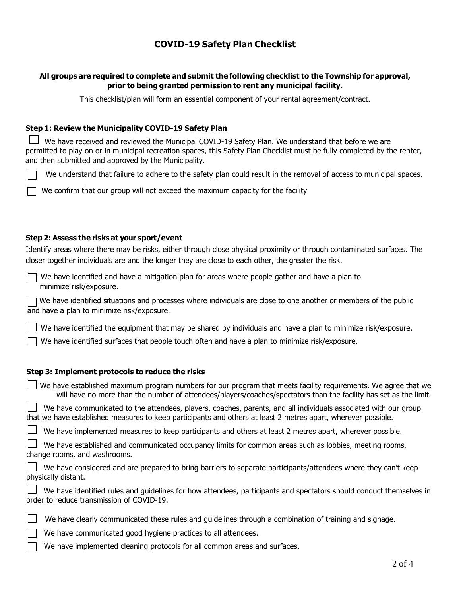# **COVID-19 Safety Plan Checklist**

#### **All groups are required to complete and submit the following checklist to the Township for approval, prior to being granted permission to rent any municipal facility.**

This checklist/plan will form an essential component of your rental agreement/contract.

#### **Step 1: Review the Municipality COVID-19 Safety Plan**

 $\perp$  We have received and reviewed the Municipal COVID-19 Safety Plan. We understand that before we are permitted to play on or in municipal recreation spaces, this Safety Plan Checklist must be fully completed by the renter, and then submitted and approved by the Municipality.

We understand that failure to adhere to the safety plan could result in the removal of access to municipal spaces.

We confirm that our group will not exceed the maximum capacity for the facility

#### **Step 2: Assess the risks at your sport/event**

Identify areas where there may be risks, either through close physical proximity or through contaminated surfaces. The closer together individuals are and the longer they are close to each other, the greater the risk.

We have identified and have a mitigation plan for areas where people gather and have a plan to minimize risk/exposure.

 $\Box$  We have identified situations and processes where individuals are close to one another or members of the public and have a plan to minimize risk/exposure.

We have identified the equipment that may be shared by individuals and have a plan to minimize risk/exposure.

 $\Box$  We have identified surfaces that people touch often and have a plan to minimize risk/exposure.

#### **Step 3: Implement protocols to reduce the risks**

| $\rfloor$ We have established maximum program numbers for our program that meets facility requirements. We agree that we |
|--------------------------------------------------------------------------------------------------------------------------|
| will have no more than the number of attendees/players/coaches/spectators than the facility has set as the limit.        |

We have communicated to the attendees, players, coaches, parents, and all individuals associated with our group that we have established measures to keep participants and others at least 2 metres apart, wherever possible.

We have implemented measures to keep participants and others at least 2 metres apart, wherever possible.

 We have established and communicated occupancy limits for common areas such as lobbies, meeting rooms, change rooms, and washrooms.

| $\Box$ We have considered and are prepared to bring barriers to separate participants/attendees where they can't keep |  |
|-----------------------------------------------------------------------------------------------------------------------|--|
| physically distant.                                                                                                   |  |

|  |  |  |                                           |  | $\Box$ We have identified rules and guidelines for how attendees, participants and spectators should conduct themselves in |  |  |  |
|--|--|--|-------------------------------------------|--|----------------------------------------------------------------------------------------------------------------------------|--|--|--|
|  |  |  | order to reduce transmission of COVID-19. |  |                                                                                                                            |  |  |  |

| We have clearly communicated these rules and guidelines through a combination of training and signage. |  |  |  |  |
|--------------------------------------------------------------------------------------------------------|--|--|--|--|
|                                                                                                        |  |  |  |  |

We have communicated good hygiene practices to all attendees.

We have implemented cleaning protocols for all common areas and surfaces.